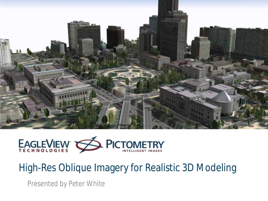



#### High-Res Oblique Imagery for Realistic 3D Modeling

Presented by Peter White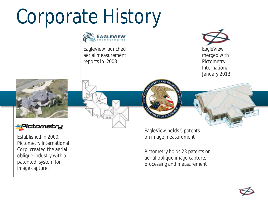### Corporate History



EagleView launched aerial measurement reports in 2008



EagleView merged with **Pictometry** International January 2013





Established in 2000, Pictometry International Corp. created the aerial oblique industry with a patented system for image capture.

EagleView holds 5 patents on image measurement

Pictometry holds 23 patents on aerial oblique image capture, processing and measurement

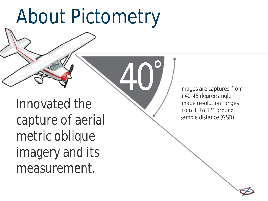### About Pictometry

40°

Innovated the capture of aerial metric oblique imagery and its measurement.

*Images are captured from a 40-45 degree angle. Image resolution ranges from 3" to 12" ground sample distance (GSD).*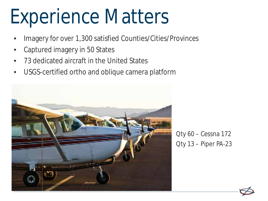### Experience Matters

- Imagery for over 1,300 satisfied Counties/Cities/Provinces
- Captured imagery in 50 States
- 73 dedicated aircraft in the United States
- USGS-certified ortho and oblique camera platform



Qty 60 – Cessna 172 Qty 13 – Piper PA-23

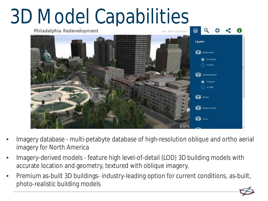# 3D Model Capabilities



- Imagery database multi-petabyte database of high-resolution oblique and ortho aerial imagery for North America
- Imagery-derived models feature high level-of-detail (LOD) 3D building models with accurate location and geometry, textured with oblique imagery.
- Premium as-built 3D buildings- industry-leading option for current conditions, as-built, photo-realistic building models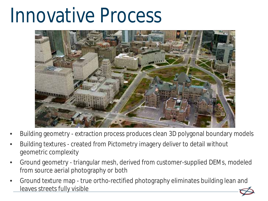### Innovative Process



- Building geometry extraction process produces clean 3D polygonal boundary models
- Building textures created from Pictometry imagery deliver to detail without geometric complexity
- Ground geometry triangular mesh, derived from customer-supplied DEMs, modeled from source aerial photography or both
- Ground texture map true ortho-rectified photography eliminates building lean and leaves streets fully visible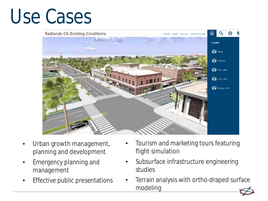### Use Cases



- Urban growth management, planning and development
- Emergency planning and management
- **Effective public presentations**
- Tourism and marketing tours featuring flight simulation
- Subsurface infrastructure engineering studies
- Terrain analysis with ortho-draped surface modeling

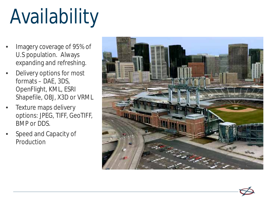## Availability

- Imagery coverage of 95% of U.S population. Always expanding and refreshing.
- Delivery options for most formats – DAE, 3DS, OpenFlight, KML, ESRI Shapefile, OBJ, X3D or VRML
- Texture maps delivery options: JPEG, TIFF, GeoTIFF, BMP or DDS.
- Speed and Capacity of Production